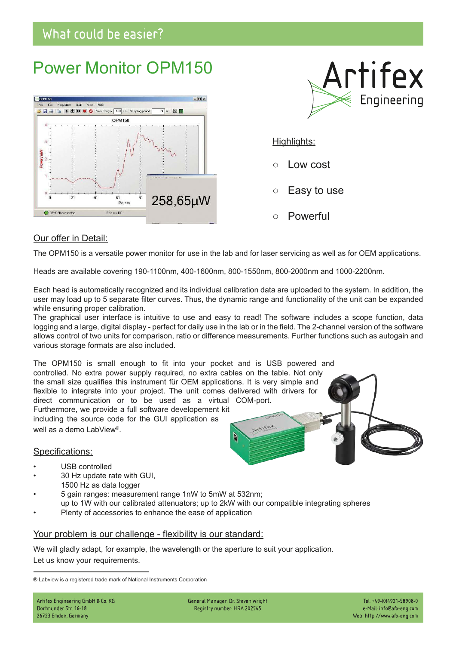## What could be easier?

# Power Monitor OPM150





## Highlights:

- Low cost
- Easy to use
- Powerful

## Our offer in Detail:

The OPM150 is a versatile power monitor for use in the lab and for laser servicing as well as for OEM applications.

Heads are available covering 190-1100nm, 400-1600nm, 800-1550nm, 800-2000nm and 1000-2200nm.

Each head is automatically recognized and its individual calibration data are uploaded to the system. In addition, the user may load up to 5 separate filter curves. Thus, the dynamic range and functionality of the unit can be expanded while ensuring proper calibration.

The graphical user interface is intuitive to use and easy to read! The software includes a scope function, data logging and a large, digital display - perfect for daily use in the lab or in the field. The 2-channel version of the software allows control of two units for comparison, ratio or difference measurements. Further functions such as autogain and various storage formats are also included.

The OPM150 is small enough to fit into your pocket and is USB powered and controlled. No extra power supply required, no extra cables on the table. Not only the small size qualifies this instrument für OEM applications. It is very simple and flexible to integrate into your project. The unit comes delivered with drivers for direct communication or to be used as a virtual COM-port. Furthermore, we provide a full software developement kit including the source code for the GUI application as Artifey well as a demo LabView® . Q

## Specifications:

- USB controlled
- 30 Hz update rate with GUI, 1500 Hz as data logger
- 5 gain ranges: measurement range 1nW to 5mW at 532nm; up to 1W with our calibrated attenuators; up to 2kW with our compatible integrating spheres
- Plenty of accessories to enhance the ease of application

## Your problem is our challenge - flexibility is our standard:

We will gladly adapt, for example, the wavelength or the aperture to suit your application. Let us know your requirements.

General Manager: Dr. Steven Wright Registry number: HRA 202545

<sup>®</sup> Labview is a registered trade mark of National Instruments Corporation